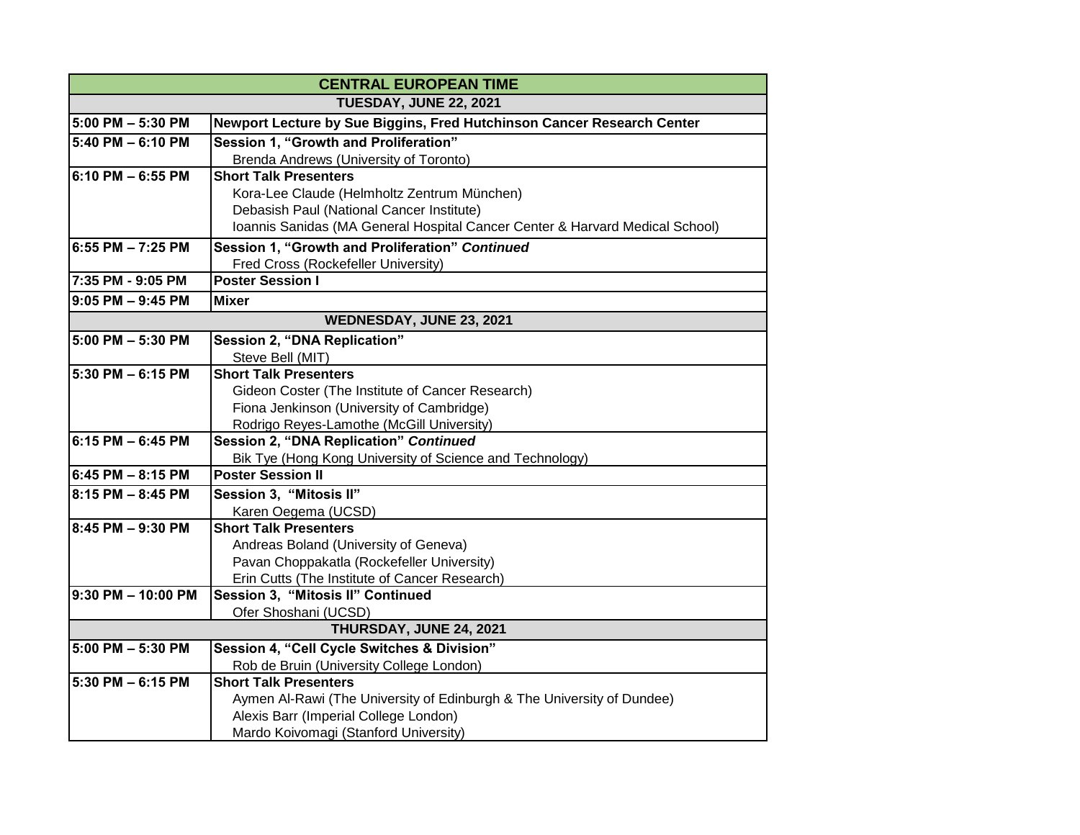| <b>CENTRAL EUROPEAN TIME</b>  |                                                                                                                                                          |
|-------------------------------|----------------------------------------------------------------------------------------------------------------------------------------------------------|
| <b>TUESDAY, JUNE 22, 2021</b> |                                                                                                                                                          |
| 5:00 PM - 5:30 PM             | Newport Lecture by Sue Biggins, Fred Hutchinson Cancer Research Center                                                                                   |
| 5:40 PM - 6:10 PM             | Session 1, "Growth and Proliferation"                                                                                                                    |
|                               | Brenda Andrews (University of Toronto)                                                                                                                   |
| 6:10 PM – 6:55 PM             | <b>Short Talk Presenters</b>                                                                                                                             |
|                               | Kora-Lee Claude (Helmholtz Zentrum München)                                                                                                              |
|                               | Debasish Paul (National Cancer Institute)                                                                                                                |
|                               | Ioannis Sanidas (MA General Hospital Cancer Center & Harvard Medical School)                                                                             |
| 6:55 PM - 7:25 PM             | Session 1, "Growth and Proliferation" Continued                                                                                                          |
|                               | Fred Cross (Rockefeller University)                                                                                                                      |
| 7:35 PM - 9:05 PM             | <b>Poster Session I</b>                                                                                                                                  |
| $9:05$ PM $-9:45$ PM          | <b>Mixer</b>                                                                                                                                             |
| WEDNESDAY, JUNE 23, 2021      |                                                                                                                                                          |
| 5:00 PM - 5:30 PM             | <b>Session 2, "DNA Replication"</b>                                                                                                                      |
|                               | Steve Bell (MIT)                                                                                                                                         |
| 5:30 PM - 6:15 PM             | <b>Short Talk Presenters</b>                                                                                                                             |
|                               | Gideon Coster (The Institute of Cancer Research)                                                                                                         |
|                               | Fiona Jenkinson (University of Cambridge)                                                                                                                |
|                               | Rodrigo Reyes-Lamothe (McGill University)                                                                                                                |
| 6:15 PM - 6:45 PM             | <b>Session 2, "DNA Replication" Continued</b>                                                                                                            |
|                               | Bik Tye (Hong Kong University of Science and Technology)                                                                                                 |
| 6:45 PM - 8:15 PM             | <b>Poster Session II</b>                                                                                                                                 |
| 8:15 PM - 8:45 PM             | Session 3, "Mitosis II"                                                                                                                                  |
|                               | Karen Oegema (UCSD)                                                                                                                                      |
| 8:45 PM - 9:30 PM             | <b>Short Talk Presenters</b>                                                                                                                             |
|                               | Andreas Boland (University of Geneva)                                                                                                                    |
|                               | Pavan Choppakatla (Rockefeller University)                                                                                                               |
|                               | Erin Cutts (The Institute of Cancer Research)                                                                                                            |
| 9:30 PM - 10:00 PM            | Session 3, "Mitosis II" Continued                                                                                                                        |
|                               | Ofer Shoshani (UCSD)<br>THURSDAY, JUNE 24, 2021                                                                                                          |
| 5:00 PM - 5:30 PM             |                                                                                                                                                          |
|                               | Session 4, "Cell Cycle Switches & Division"<br>Rob de Bruin (University College London)                                                                  |
| 5:30 PM - 6:15 PM             | <b>Short Talk Presenters</b>                                                                                                                             |
|                               |                                                                                                                                                          |
|                               |                                                                                                                                                          |
|                               |                                                                                                                                                          |
|                               | Aymen Al-Rawi (The University of Edinburgh & The University of Dundee)<br>Alexis Barr (Imperial College London)<br>Mardo Koivomagi (Stanford University) |